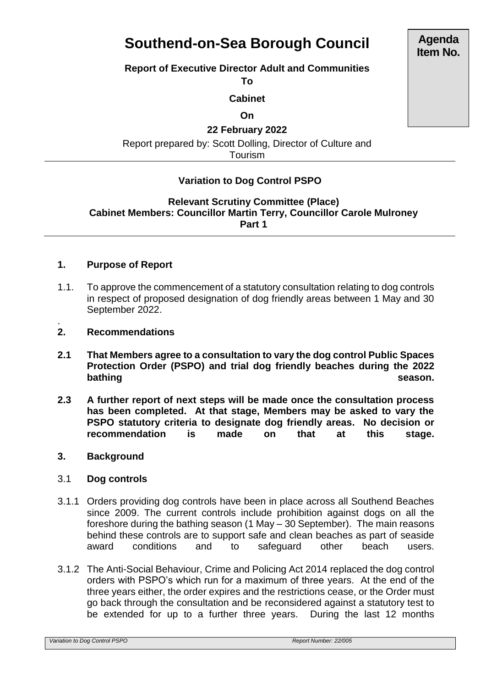# **Southend-on-Sea Borough Council**

## **Report of Executive Director Adult and Communities**

**To**

**Cabinet**

**On**

**22 February 2022**

Report prepared by: Scott Dolling, Director of Culture and Tourism

## **Variation to Dog Control PSPO**

## **Relevant Scrutiny Committee (Place) Cabinet Members: Councillor Martin Terry, Councillor Carole Mulroney Part 1**

## **1. Purpose of Report**

- 1.1. To approve the commencement of a statutory consultation relating to dog controls in respect of proposed designation of dog friendly areas between 1 May and 30 September 2022.
- . **2. Recommendations**
- **2.1 That Members agree to a consultation to vary the dog control Public Spaces Protection Order (PSPO) and trial dog friendly beaches during the 2022 bathing season.**
- **2.3 A further report of next steps will be made once the consultation process has been completed. At that stage, Members may be asked to vary the PSPO statutory criteria to designate dog friendly areas. No decision or recommendation is made on that at this stage.**
- **3. Background**

## 3.1 **Dog controls**

- 3.1.1 Orders providing dog controls have been in place across all Southend Beaches since 2009. The current controls include prohibition against dogs on all the foreshore during the bathing season (1 May – 30 September). The main reasons behind these controls are to support safe and clean beaches as part of seaside award conditions and to safeguard other beach users.
- 3.1.2 The Anti-Social Behaviour, Crime and Policing Act 2014 replaced the dog control orders with PSPO's which run for a maximum of three years. At the end of the three years either, the order expires and the restrictions cease, or the Order must go back through the consultation and be reconsidered against a statutory test to be extended for up to a further three years. During the last 12 months

*Variation to Dog Control PSPO Report Number: 22/005*

**Agenda Item No.**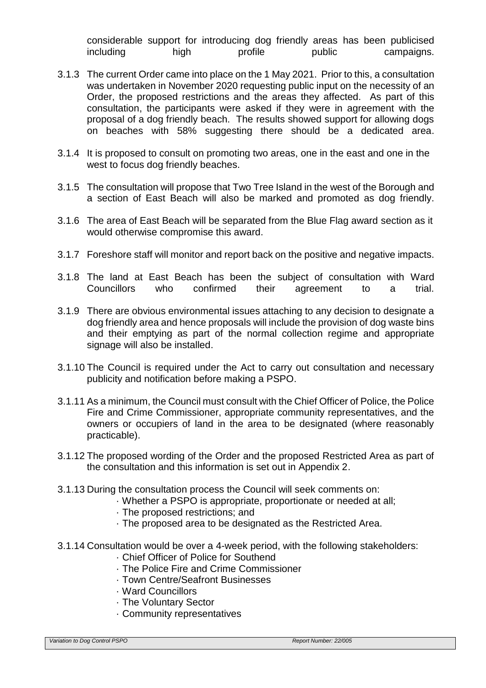considerable support for introducing dog friendly areas has been publicised including high profile public campaigns.

- 3.1.3 The current Order came into place on the 1 May 2021. Prior to this, a consultation was undertaken in November 2020 requesting public input on the necessity of an Order, the proposed restrictions and the areas they affected. As part of this consultation, the participants were asked if they were in agreement with the proposal of a dog friendly beach. The results showed support for allowing dogs on beaches with 58% suggesting there should be a dedicated area.
- 3.1.4 It is proposed to consult on promoting two areas, one in the east and one in the west to focus dog friendly beaches.
- 3.1.5 The consultation will propose that Two Tree Island in the west of the Borough and a section of East Beach will also be marked and promoted as dog friendly.
- 3.1.6 The area of East Beach will be separated from the Blue Flag award section as it would otherwise compromise this award.
- 3.1.7 Foreshore staff will monitor and report back on the positive and negative impacts.
- 3.1.8 The land at East Beach has been the subject of consultation with Ward Councillors who confirmed their agreement to a trial.
- 3.1.9 There are obvious environmental issues attaching to any decision to designate a dog friendly area and hence proposals will include the provision of dog waste bins and their emptying as part of the normal collection regime and appropriate signage will also be installed.
- 3.1.10 The Council is required under the Act to carry out consultation and necessary publicity and notification before making a PSPO.
- 3.1.11 As a minimum, the Council must consult with the Chief Officer of Police, the Police Fire and Crime Commissioner, appropriate community representatives, and the owners or occupiers of land in the area to be designated (where reasonably practicable).
- 3.1.12 The proposed wording of the Order and the proposed Restricted Area as part of the consultation and this information is set out in Appendix 2.
- 3.1.13 During the consultation process the Council will seek comments on:
	- · Whether a PSPO is appropriate, proportionate or needed at all;
		- · The proposed restrictions; and
		- · The proposed area to be designated as the Restricted Area.
- 3.1.14 Consultation would be over a 4-week period, with the following stakeholders:
	- · Chief Officer of Police for Southend
	- · The Police Fire and Crime Commissioner
	- · Town Centre/Seafront Businesses
	- · Ward Councillors
	- · The Voluntary Sector
	- · Community representatives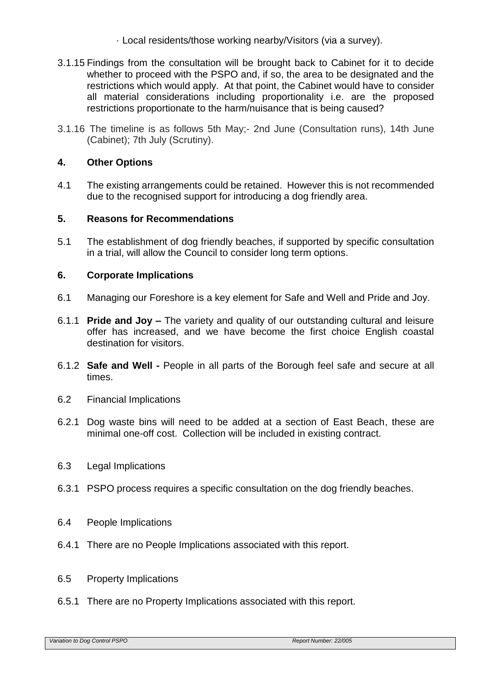- · Local residents/those working nearby/Visitors (via a survey).
- 3.1.15 Findings from the consultation will be brought back to Cabinet for it to decide whether to proceed with the PSPO and, if so, the area to be designated and the restrictions which would apply. At that point, the Cabinet would have to consider all material considerations including proportionality i.e. are the proposed restrictions proportionate to the harm/nuisance that is being caused?
- 3.1.16 The timeline is as follows 5th May;- 2nd June (Consultation runs), 14th June (Cabinet); 7th July (Scrutiny).

## **4. Other Options**

4.1 The existing arrangements could be retained. However this is not recommended due to the recognised support for introducing a dog friendly area.

## **5. Reasons for Recommendations**

5.1 The establishment of dog friendly beaches, if supported by specific consultation in a trial, will allow the Council to consider long term options.

## **6. Corporate Implications**

- 6.1 Managing our Foreshore is a key element for Safe and Well and Pride and Joy.
- 6.1.1 **Pride and Joy –** The variety and quality of our outstanding cultural and leisure offer has increased, and we have become the first choice English coastal destination for visitors.
- 6.1.2 **Safe and Well -** People in all parts of the Borough feel safe and secure at all times.
- 6.2 Financial Implications
- 6.2.1 Dog waste bins will need to be added at a section of East Beach, these are minimal one-off cost. Collection will be included in existing contract.
- 6.3 Legal Implications
- 6.3.1 PSPO process requires a specific consultation on the dog friendly beaches.
- 6.4 People Implications
- 6.4.1 There are no People Implications associated with this report.
- 6.5 Property Implications
- 6.5.1 There are no Property Implications associated with this report.